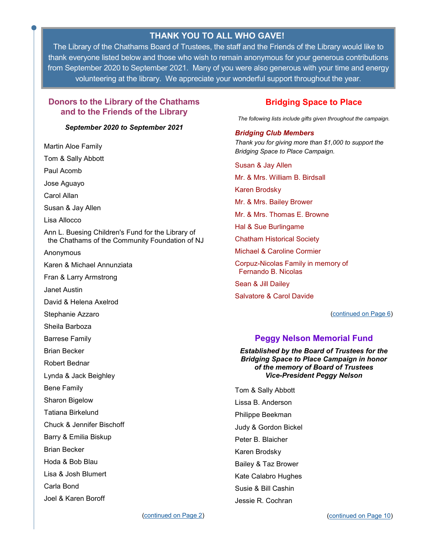# **THANK YOU TO ALL WHO GAVE!**

<span id="page-0-0"></span>The Library of the Chathams Board of Trustees, the staff and the Friends of the Library would like to thank everyone listed below and those who wish to remain anonymous for your generous contributions from September 2020 to September 2021. Many of you were also generous with your time and energy volunteering at the library. We appreciate your wonderful support throughout the year.

## **Donors to the Library of the Chathams and to the Friends of the Library**

### *September 2020 to September 2021*

Martin Aloe Family Tom & Sally Abbott Paul Acomb Jose Aguayo Carol Allan Susan & Jay Allen Lisa Allocco Ann L. Buesing Children's Fund for the Library of the Chathams of the Community Foundation of NJ Anonymous Karen & Michael Annunziata Fran & Larry Armstrong Janet Austin David & Helena Axelrod Stephanie Azzaro Sheila Barboza Barrese Family Brian Becker Robert Bednar Lynda & Jack Beighley Bene Family Sharon Bigelow Tatiana Birkelund Chuck & Jennifer Bischoff Barry & Emilia Biskup Brian Becker Hoda & Bob Blau Lisa & Josh Blumert Carla Bond Joel & Karen Boroff

## **Bridging Space to Place**

*The following lists include gifts given throughout the campaign.*

### *Bridging Club Members*

*Thank you for giving more than \$1,000 to support the Bridging Space to Place Campaign.*

Susan & Jay Allen Mr. & Mrs. William B. Birdsall Karen Brodsky Mr. & Mrs. Bailey Brower Mr. & Mrs. Thomas E. Browne Hal & Sue Burlingame Chatham Historical Society Michael & Caroline Cormier Corpuz-Nicolas Family in memory of Fernando B. Nicolas Sean & Jill Dailey Salvatore & Carol Davide

([continued on Page 6\)](#page-5-0)

## **Peggy Nelson Memorial Fund**

*Established by the Board of Trustees for the Bridging Space to Place Campaign in honor of the memory of Board of Trustees Vice-President Peggy Nelson*

Tom & Sally Abbott Lissa B. Anderson Philippe Beekman Judy & Gordon Bickel Peter B. Blaicher Karen Brodsky Bailey & Taz Brower Kate Calabro Hughes Susie & Bill Cashin Jessie R. Cochran

[\(continued on Page 2\)](#page-1-0)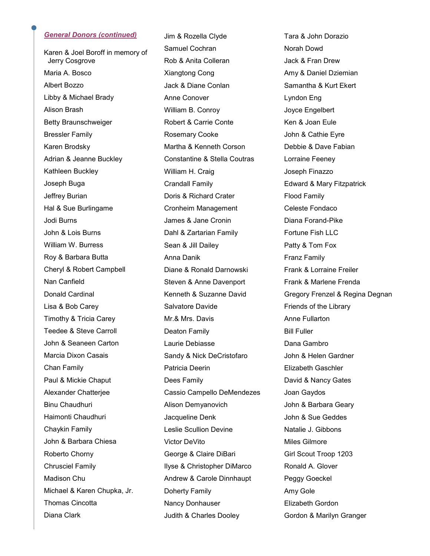### <span id="page-1-0"></span>*General Donors (continued)*

Karen & Joel Boroff in memory of Jerry Cosgrove Maria A. Bosco Albert Bozzo Libby & Michael Brady Alison Brash Betty Braunschweiger Bressler Family Karen Brodsky Adrian & Jeanne Buckley Kathleen Buckley Joseph Buga Jeffrey Burian Hal & Sue Burlingame Jodi Burns John & Lois Burns William W. Burress Roy & Barbara Butta Cheryl & Robert Campbell Nan Canfield Donald Cardinal Lisa & Bob Carey Timothy & Tricia Carey Teedee & Steve Carroll John & Seaneen Carton Marcia Dixon Casais Chan Family Paul & Mickie Chaput Alexander Chatterjee Binu Chaudhuri Haimonti Chaudhuri Chaykin Family John & Barbara Chiesa Roberto Chorny Chrusciel Family Madison Chu Michael & Karen Chupka, Jr. Thomas Cincotta Diana Clark

Jim & Rozella Clyde Samuel Cochran Rob & Anita Colleran Xiangtong Cong Jack & Diane Conlan Anne Conover William B. Conroy Robert & Carrie Conte Rosemary Cooke Martha & Kenneth Corson Constantine & Stella Coutras William H. Craig Crandall Family Doris & Richard Crater Cronheim Management James & Jane Cronin Dahl & Zartarian Family Sean & Jill Dailey Anna Danik Diane & Ronald Darnowski Steven & Anne Davenport Kenneth & Suzanne David Salvatore Davide Mr.& Mrs. Davis Deaton Family Laurie Debiasse Sandy & Nick DeCristofaro Patricia Deerin Dees Family Cassio Campello DeMendezes Alison Demyanovich Jacqueline Denk Leslie Scullion Devine Victor DeVito George & Claire DiBari Ilyse & Christopher DiMarco Andrew & Carole Dinnhaupt Doherty Family Nancy Donhauser Judith & Charles Dooley

Tara & John Dorazio Norah Dowd Jack & Fran Drew Amy & Daniel Dziemian Samantha & Kurt Ekert Lyndon Eng Joyce Engelbert Ken & Joan Eule John & Cathie Eyre Debbie & Dave Fabian Lorraine Feeney Joseph Finazzo Edward & Mary Fitzpatrick Flood Family Celeste Fondaco Diana Forand-Pike Fortune Fish LLC Patty & Tom Fox Franz Family Frank & Lorraine Freiler Frank & Marlene Frenda Gregory Frenzel & Regina Degnan Friends of the Library Anne Fullarton Bill Fuller Dana Gambro John & Helen Gardner Elizabeth Gaschler David & Nancy Gates Joan Gaydos John & Barbara Geary John & Sue Geddes Natalie J. Gibbons Miles Gilmore Girl Scout Troop 1203 Ronald A. Glover Peggy Goeckel Amy Gole Elizabeth Gordon Gordon & Marilyn Granger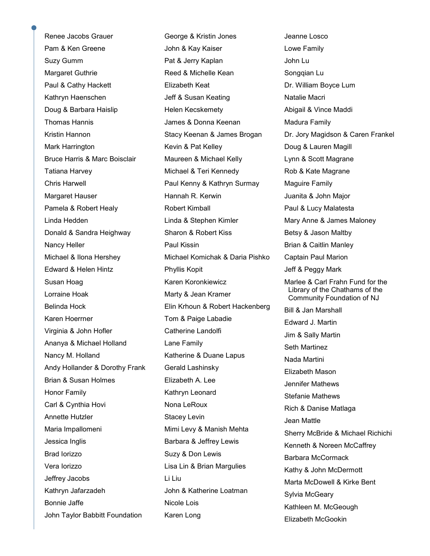Renee Jacobs Grauer Pam & Ken Greene Suzy Gumm Margaret Guthrie Paul & Cathy Hackett Kathryn Haenschen Doug & Barbara Haislip Thomas Hannis Kristin Hannon Mark Harrington Bruce Harris & Marc Boisclair Tatiana Harvey Chris Harwell Margaret Hauser Pamela & Robert Healy Linda Hedden Donald & Sandra Heighway Nancy Heller Michael & Ilona Hershey Edward & Helen Hintz Susan Hoag Lorraine Hoak Belinda Hock Karen Hoerrner Virginia & John Hofler Ananya & Michael Holland Nancy M. Holland Andy Hollander & Dorothy Frank Brian & Susan Holmes Honor Family Carl & Cynthia Hovi Annette Hutzler Maria Impallomeni Jessica Inglis Brad Iorizzo Vera Iorizzo Jeffrey Jacobs Kathryn Jafarzadeh Bonnie Jaffe John Taylor Babbitt Foundation

George & Kristin Jones John & Kay Kaiser Pat & Jerry Kaplan Reed & Michelle Kean Elizabeth Keat Jeff & Susan Keating Helen Kecskemety James & Donna Keenan Stacy Keenan & James Brogan Kevin & Pat Kelley Maureen & Michael Kelly Michael & Teri Kennedy Paul Kenny & Kathryn Surmay Hannah R. Kerwin Robert Kimball Linda & Stephen Kimler Sharon & Robert Kiss Paul Kissin Michael Komichak & Daria Pishko Phyllis Kopit Karen Koronkiewicz Marty & Jean Kramer Elin Krhoun & Robert Hackenberg Tom & Paige Labadie Catherine Landolfi Lane Family Katherine & Duane Lapus Gerald Lashinsky Elizabeth A. Lee Kathryn Leonard Nona LeRoux Stacey Levin Mimi Levy & Manish Mehta Barbara & Jeffrey Lewis Suzy & Don Lewis Lisa Lin & Brian Margulies Li Liu John & Katherine Loatman Nicole Lois Karen Long

Jeanne Losco Lowe Family John Lu Songqian Lu Dr. William Boyce Lum Natalie Macri Abigail & Vince Maddi Madura Family Dr. Jory Magidson & Caren Frankel Doug & Lauren Magill Lynn & Scott Magrane Rob & Kate Magrane Maguire Family Juanita & John Major Paul & Lucy Malatesta Mary Anne & James Maloney Betsy & Jason Maltby Brian & Caitlin Manley Captain Paul Marion Jeff & Peggy Mark Marlee & Carl Frahn Fund for the Library of the Chathams of the Community Foundation of NJ Bill & Jan Marshall Edward J. Martin Jim & Sally Martin Seth Martinez Nada Martini Elizabeth Mason Jennifer Mathews Stefanie Mathews Rich & Danise Matlaga Jean Mattle Sherry McBride & Michael Richichi Kenneth & Noreen McCaffrey Barbara McCormack Kathy & John McDermott Marta McDowell & Kirke Bent Sylvia McGeary Kathleen M. McGeough Elizabeth McGookin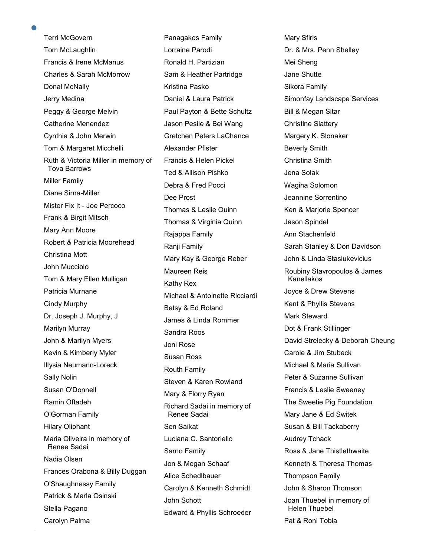Terri McGovern Tom McLaughlin Francis & Irene McManus Charles & Sarah McMorrow Donal McNally Jerry Medina Peggy & George Melvin Catherine Menendez Cynthia & John Merwin Tom & Margaret Micchelli Ruth & Victoria Miller in memory of Tova Barrows Miller Family Diane Sirna-Miller Mister Fix It - Joe Percoco Frank & Birgit Mitsch Mary Ann Moore Robert & Patricia Moorehead Christina Mott John Mucciolo Tom & Mary Ellen Mulligan Patricia Murnane Cindy Murphy Dr. Joseph J. Murphy, J Marilyn Murray John & Marilyn Myers Kevin & Kimberly Myler Illysia Neumann-Loreck Sally Nolin Susan O'Donnell Ramin Oftadeh O'Gorman Family Hilary Oliphant Maria Oliveira in memory of Renee Sadai Nadia Olsen Frances Orabona & Billy Duggan O'Shaughnessy Family Patrick & Marla Osinski Stella Pagano Carolyn Palma

Panagakos Family Lorraine Parodi Ronald H. Partizian Sam & Heather Partridge Kristina Pasko Daniel & Laura Patrick Paul Payton & Bette Schultz Jason Pesile & Bei Wang Gretchen Peters LaChance Alexander Pfister Francis & Helen Pickel Ted & Allison Pishko Debra & Fred Pocci Dee Prost Thomas & Leslie Quinn Thomas & Virginia Quinn Rajappa Family Ranji Family Mary Kay & George Reber Maureen Reis Kathy Rex Michael & Antoinette Ricciardi Betsy & Ed Roland James & Linda Rommer Sandra Roos Joni Rose Susan Ross Routh Family Steven & Karen Rowland Mary & Florry Ryan Richard Sadai in memory of Renee Sadai Sen Saikat Luciana C. Santoriello Sarno Family Jon & Megan Schaaf Alice Schedlbauer Carolyn & Kenneth Schmidt John Schott Edward & Phyllis Schroeder

Mary Sfiris Dr. & Mrs. Penn Shelley Mei Sheng Jane Shutte Sikora Family Simonfay Landscape Services Bill & Megan Sitar Christine Slattery Margery K. Slonaker Beverly Smith Christina Smith Jena Solak Wagiha Solomon Jeannine Sorrentino Ken & Marjorie Spencer Jason Spindel Ann Stachenfeld Sarah Stanley & Don Davidson John & Linda Stasiukevicius Roubiny Stavropoulos & James Kanellakos Joyce & Drew Stevens Kent & Phyllis Stevens Mark Steward Dot & Frank Stillinger David Strelecky & Deborah Cheung Carole & Jim Stubeck Michael & Maria Sullivan Peter & Suzanne Sullivan Francis & Leslie Sweeney The Sweetie Pig Foundation Mary Jane & Ed Switek Susan & Bill Tackaberry Audrey Tchack Ross & Jane Thistlethwaite Kenneth & Theresa Thomas Thompson Family John & Sharon Thomson Joan Thuebel in memory of Helen Thuebel Pat & Roni Tobia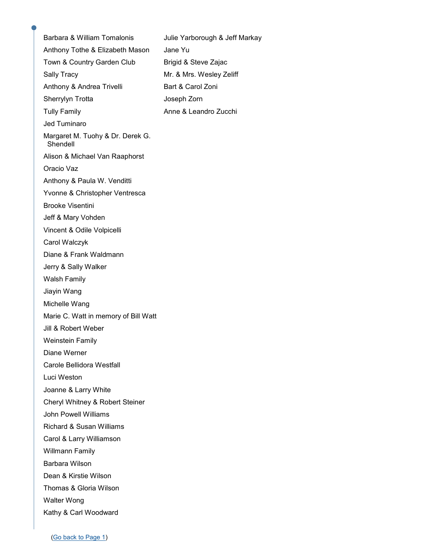Barbara & William Tomalonis Anthony Tothe & Elizabeth Mason Town & Country Garden Club Sally Tracy Anthony & Andrea Trivelli Sherrylyn Trotta Tully Family Jed Tuminaro Margaret M. Tuohy & Dr. Derek G. Shendell Alison & Michael Van Raaphorst Oracio Vaz Anthony & Paula W. Venditti Yvonne & Christopher Ventresca Brooke Visentini Jeff & Mary Vohden Vincent & Odile Volpicelli Carol Walczyk Diane & Frank Waldmann Jerry & Sally Walker Walsh Family Jiayin Wang Michelle Wang Marie C. Watt in memory of Bill Watt Jill & Robert Weber Weinstein Family Diane Werner Carole Bellidora Westfall Luci Weston Joanne & Larry White Cheryl Whitney & Robert Steiner John Powell Williams Richard & Susan Williams Carol & Larry Williamson Willmann Family Barbara Wilson Dean & Kirstie Wilson Thomas & Gloria Wilson Walter Wong Kathy & Carl Woodward Julie Yarborough & Jeff Markay Jane Yu Brigid & Steve Zajac Mr. & Mrs. Wesley Zeliff Bart & Carol Zoni Joseph Zorn Anne & Leandro Zucchi

([Go back to Page 1\)](#page-0-0)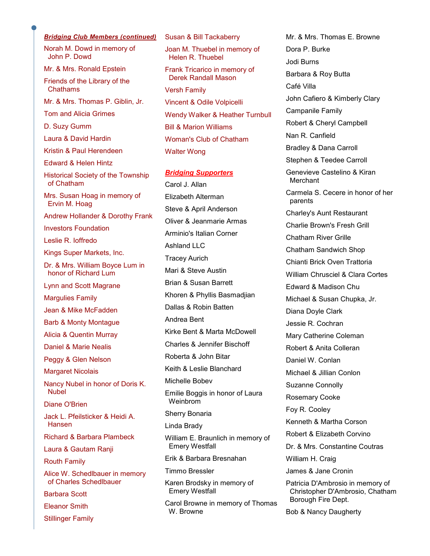#### <span id="page-5-0"></span>*Bridging Club Members (continued)*

Norah M. Dowd in memory of John P. Dowd

Mr. & Mrs. Ronald Epstein

Friends of the Library of the Chathams

- Mr. & Mrs. Thomas P. Giblin, Jr.
- Tom and Alicia Grimes

D. Suzy Gumm

Laura & David Hardin

Kristin & Paul Herendeen

Edward & Helen Hintz

Historical Society of the Township of Chatham

Mrs. Susan Hoag in memory of Ervin M. Hoag

Andrew Hollander & Dorothy Frank

Investors Foundation

Leslie R. Ioffredo

Kings Super Markets, Inc.

Dr. & Mrs. William Boyce Lum in honor of Richard Lum

Lynn and Scott Magrane

Margulies Family

Jean & Mike McFadden

Barb & Monty Montague

Alicia & Quentin Murray

Daniel & Marie Nealis

Peggy & Glen Nelson

Margaret Nicolais

Nancy Nubel in honor of Doris K. Nubel

Diane O'Brien

Jack L. Pfeilsticker & Heidi A. Hansen

Richard & Barbara Plambeck

Laura & Gautam Ranji

Routh Family

Alice W. Schedlbauer in memory of Charles Schedlbauer

Barbara Scott

Eleanor Smith

Stillinger Family

Joan M. Thuebel in memory of Helen R. Thuebel Frank Tricarico in memory of Derek Randall Mason Versh Family Vincent & Odile Volpicelli Wendy Walker & Heather Turnbull Bill & Marion Williams Woman's Club of Chatham Walter Wong

Susan & Bill Tackaberry

#### *Bridging Supporters*

Carol J. Allan Elizabeth Alterman Steve & April Anderson Oliver & Jeanmarie Armas Arminio's Italian Corner Ashland LLC Tracey Aurich Mari & Steve Austin Brian & Susan Barrett Khoren & Phyllis Basmadjian Dallas & Robin Batten Andrea Bent Kirke Bent & Marta McDowell Charles & Jennifer Bischoff Roberta & John Bitar Keith & Leslie Blanchard Michelle Bobev Emilie Boggis in honor of Laura Weinbrom Sherry Bonaria Linda Brady William E. Braunlich in memory of Emery Westfall Erik & Barbara Bresnahan Timmo Bressler Karen Brodsky in memory of Emery Westfall

Carol Browne in memory of Thomas W. Browne

Mr. & Mrs. Thomas E. Browne Dora P. Burke Jodi Burns Barbara & Roy Butta Café Villa John Cafiero & Kimberly Clary Campanile Family Robert & Cheryl Campbell Nan R. Canfield Bradley & Dana Carroll Stephen & Teedee Carroll Genevieve Castelino & Kiran **Merchant** Carmela S. Cecere in honor of her parents Charley's Aunt Restaurant Charlie Brown's Fresh Grill Chatham River Grille Chatham Sandwich Shop Chianti Brick Oven Trattoria William Chrusciel & Clara Cortes Edward & Madison Chu Michael & Susan Chupka, Jr. Diana Doyle Clark Jessie R. Cochran Mary Catherine Coleman Robert & Anita Colleran Daniel W. Conlan Michael & Jillian Conlon Suzanne Connolly Rosemary Cooke Foy R. Cooley Kenneth & Martha Corson Robert & Elizabeth Corvino Dr. & Mrs. Constantine Coutras William H. Craig James & Jane Cronin Patricia D'Ambrosio in memory of Christopher D'Ambrosio, Chatham Borough Fire Dept.

Bob & Nancy Daugherty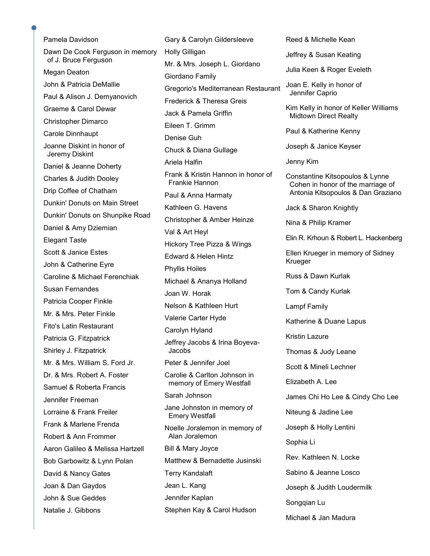Pamela Davidson Dawn De Cook Ferguson in memory of J. Bruce Ferguson Megan Deaton John & Patricia DeMallie Paul & Alison J. Demyanovich Graeme & Carol Dewar Christopher Dimarco Carole Dinnhaupt Joanne Diskint in honor of Jeremy Diskint Daniel & Jeanne Doherty Charles & Judith Dooley Drip Coffee of Chatham Dunkin' Donuts on Main Street Dunkin' Donuts on Shunpike Road Daniel & Amy Dziemian Elegant Taste Scott & Janice Estes John & Catherine Eyre Caroline & Michael Ferenchiak Susan Fernandes Patricia Cooper Finkle Mr. & Mrs. Peter Finkle Fito's Latin Restaurant Patricia G. Fitzpatrick Shirley J. Fitzpatrick Mr. & Mrs. William S. Ford Jr. Dr. & Mrs. Robert A. Foster Samuel & Roberta Francis Jennifer Freeman Lorraine & Frank Freiler Frank & Marlene Frenda Robert & Ann Frommer Aaron Galileo & Melissa Hartzell Bob Garbowitz & Lynn Polan David & Nancy Gates Joan & Dan Gaydos John & Sue Geddes Natalie J. Gibbons

Gary & Carolyn Gildersleeve Holly Gilligan Mr. & Mrs. Joseph L. Giordano Giordano Family Gregorio's Mediterranean Restaurant Frederick & Theresa Greis Jack & Pamela Griffin Eileen T. Grimm Denise Guh Chuck & Diana Gullage Ariela Halfin Frank & Kristin Hannon in honor of Frankie Hannon Paul & Anna Harmaty Kathleen G. Havens Christopher & Amber Heinze Val & Art Heyl Hickory Tree Pizza & Wings Edward & Helen Hintz Phyllis Hoiles Michael & Ananya Holland Joan W. Horak Nelson & Kathleen Hurt Valerie Carter Hyde Carolyn Hyland Jeffrey Jacobs & Irina Boyeva- Jacobs Peter & Jennifer Joel Carolie & Carlton Johnson in memory of Emery Westfall Sarah Johnson Jane Johnston in memory of Emery Westfall Noelle Joralemon in memory of Alan Joralemon Bill & Mary Joyce Matthew & Bernadette Jusinski Terry Kandalaft Jean L. Kang Jennifer Kaplan Stephen Kay & Carol Hudson

Reed & Michelle Kean

Jeffrey & Susan Keating

Julia Keen & Roger Eveleth

Joan E. Kelly in honor of Jennifer Caprio

Kim Kelly in honor of Keller Williams Midtown Direct Realty

Paul & Katherine Kenny

Joseph & Janice Keyser

Jenny Kim

Constantine Kitsopoulos & Lynne Cohen in honor of the marriage of Antonia Kitsopoulos & Dan Graziano

Jack & Sharon Knightly

Nina & Philip Kramer

Elin R. Krhoun & Robert L. Hackenberg

Ellen Krueger in memory of Sidney Krueger

Russ & Dawn Kurlak

Tom & Candy Kurlak

Lampf Family

Katherine & Duane Lapus

Kristin Lazure

Thomas & Judy Leane

Scott & Mineli Lechner

Elizabeth A. Lee

James Chi Ho Lee & Cindy Cho Lee

Niteung & Jadine Lee

Joseph & Holly Lentini

Sophia Li

Rev. Kathleen N. Locke

Sabino & Jeanne Losco

Joseph & Judith Loudermilk

Songqian Lu

Michael & Jan Madura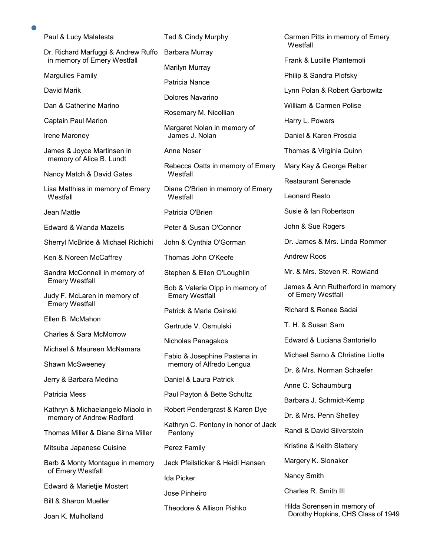|  | Paul & Lucy Malatesta                                                                         | Ted & Cindy Murphy                                                | Carmen Pitts in memory of Emery<br>Westfall           |
|--|-----------------------------------------------------------------------------------------------|-------------------------------------------------------------------|-------------------------------------------------------|
|  | Dr. Richard Marfuggi & Andrew Ruffo<br>in memory of Emery Westfall<br><b>Margulies Family</b> | Barbara Murray                                                    | Frank & Lucille Plantemoli                            |
|  |                                                                                               | Marilyn Murray                                                    | Philip & Sandra Plofsky                               |
|  | David Marik                                                                                   | Patricia Nance                                                    | Lynn Polan & Robert Garbowitz                         |
|  | Dan & Catherine Marino                                                                        | Dolores Navarino                                                  | William & Carmen Polise                               |
|  |                                                                                               | Rosemary M. Nicollian                                             |                                                       |
|  | Captain Paul Marion                                                                           | Margaret Nolan in memory of<br>James J. Nolan                     | Harry L. Powers                                       |
|  | Irene Maroney                                                                                 |                                                                   | Daniel & Karen Proscia                                |
|  | James & Joyce Martinsen in<br>memory of Alice B. Lundt                                        | <b>Anne Noser</b><br>Rebecca Oatts in memory of Emery<br>Westfall | Thomas & Virginia Quinn                               |
|  | Nancy Match & David Gates                                                                     |                                                                   | Mary Kay & George Reber                               |
|  | Lisa Matthias in memory of Emery                                                              | Diane O'Brien in memory of Emery<br>Westfall                      | <b>Restaurant Serenade</b>                            |
|  | Westfall                                                                                      |                                                                   | <b>Leonard Resto</b>                                  |
|  | Jean Mattle                                                                                   | Patricia O'Brien                                                  | Susie & Ian Robertson                                 |
|  | Edward & Wanda Mazelis                                                                        | Peter & Susan O'Connor                                            | John & Sue Rogers                                     |
|  | Sherryl McBride & Michael Richichi                                                            | John & Cynthia O'Gorman                                           | Dr. James & Mrs. Linda Rommer                         |
|  | Ken & Noreen McCaffrey                                                                        | Thomas John O'Keefe                                               | <b>Andrew Roos</b>                                    |
|  | Sandra McConnell in memory of<br><b>Emery Westfall</b>                                        | Stephen & Ellen O'Loughlin                                        | Mr. & Mrs. Steven R. Rowland                          |
|  | Judy F. McLaren in memory of<br><b>Emery Westfall</b>                                         | Bob & Valerie Olpp in memory of<br><b>Emery Westfall</b>          | James & Ann Rutherford in memory<br>of Emery Westfall |
|  | Ellen B. McMahon                                                                              | Patrick & Marla Osinski                                           | Richard & Renee Sadai                                 |
|  |                                                                                               | Gertrude V. Osmulski                                              | T. H. & Susan Sam                                     |
|  | <b>Charles &amp; Sara McMorrow</b>                                                            | Nicholas Panagakos                                                | Edward & Luciana Santoriello                          |
|  | Michael & Maureen McNamara                                                                    | Fabio & Josephine Pastena in                                      | Michael Sarno & Christine Liotta                      |
|  | Shawn McSweeney                                                                               | memory of Alfredo Lengua                                          | Dr. & Mrs. Norman Schaefer                            |
|  | Jerry & Barbara Medina                                                                        | Daniel & Laura Patrick                                            | Anne C. Schaumburg                                    |
|  | Patricia Mess                                                                                 | Paul Payton & Bette Schultz                                       | Barbara J. Schmidt-Kemp                               |
|  | Kathryn & Michaelangelo Miaolo in<br>memory of Andrew Rodford                                 | Robert Pendergrast & Karen Dye                                    | Dr. & Mrs. Penn Shelley                               |
|  | Thomas Miller & Diane Sirna Miller                                                            | Kathryn C. Pentony in honor of Jack<br>Pentony                    | Randi & David Silverstein                             |
|  | Mitsuba Japanese Cuisine                                                                      | Perez Family                                                      | Kristine & Keith Slattery                             |
|  | Barb & Monty Montague in memory<br>of Emery Westfall                                          | Jack Pfeilsticker & Heidi Hansen                                  | Margery K. Slonaker                                   |
|  |                                                                                               | Ida Picker                                                        | Nancy Smith                                           |
|  | Edward & Marietjie Mostert                                                                    | Jose Pinheiro                                                     | Charles R. Smith III                                  |
|  | <b>Bill &amp; Sharon Mueller</b>                                                              | Theodore & Allison Pishko                                         | Hilda Sorensen in memory of                           |
|  | Joan K. Mulholland                                                                            |                                                                   | Dorothy Hopkins, CHS Class of 1949                    |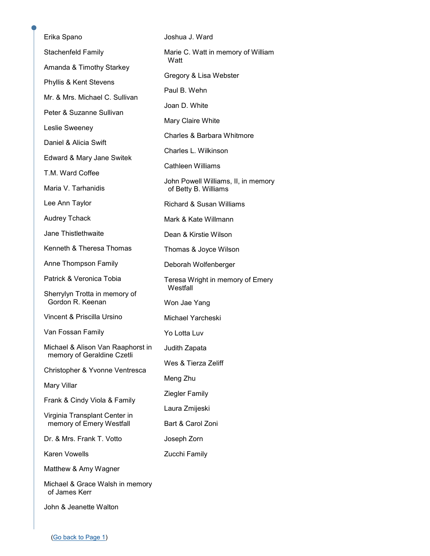| Erika Spano                                                                                                                                 | Joshua J. Ward                                                       |  |
|---------------------------------------------------------------------------------------------------------------------------------------------|----------------------------------------------------------------------|--|
| Stachenfeld Family                                                                                                                          | Marie C. Watt in memory of William<br>Watt<br>Gregory & Lisa Webster |  |
| Amanda & Timothy Starkey                                                                                                                    |                                                                      |  |
| Phyllis & Kent Stevens                                                                                                                      |                                                                      |  |
| Mr. & Mrs. Michael C. Sullivan                                                                                                              | Paul B. Wehn                                                         |  |
| Peter & Suzanne Sullivan<br>Leslie Sweeney<br>Daniel & Alicia Swift<br>Edward & Mary Jane Switek<br>T.M. Ward Coffee<br>Maria V. Tarhanidis | Joan D. White                                                        |  |
|                                                                                                                                             | Mary Claire White                                                    |  |
|                                                                                                                                             | Charles & Barbara Whitmore                                           |  |
|                                                                                                                                             | Charles L. Wilkinson                                                 |  |
|                                                                                                                                             | Cathleen Williams                                                    |  |
|                                                                                                                                             | John Powell Williams, II, in memory<br>of Betty B. Williams          |  |
| Lee Ann Taylor                                                                                                                              | <b>Richard &amp; Susan Williams</b>                                  |  |
| <b>Audrey Tchack</b>                                                                                                                        | Mark & Kate Willmann                                                 |  |
| Jane Thistlethwaite                                                                                                                         | Dean & Kirstie Wilson                                                |  |
| Kenneth & Theresa Thomas                                                                                                                    | Thomas & Joyce Wilson                                                |  |
| Anne Thompson Family                                                                                                                        | Deborah Wolfenberger                                                 |  |
| Patrick & Veronica Tobia                                                                                                                    | Teresa Wright in memory of Emery                                     |  |
| Sherrylyn Trotta in memory of<br>Gordon R. Keenan                                                                                           | Westfall<br>Won Jae Yang                                             |  |
| Vincent & Priscilla Ursino                                                                                                                  | Michael Yarcheski                                                    |  |
| Van Fossan Family                                                                                                                           | Yo Lotta Luv                                                         |  |
| Michael & Alison Van Raaphorst in Judith Zapata<br>memory of Geraldine Czetli                                                               |                                                                      |  |
| Christopher & Yvonne Ventresca                                                                                                              | Wes & Tierza Zeliff                                                  |  |
|                                                                                                                                             | Meng Zhu                                                             |  |
| Mary Villar<br>Frank & Cindy Viola & Family<br>Virginia Transplant Center in<br>memory of Emery Westfall                                    | <b>Ziegler Family</b>                                                |  |
|                                                                                                                                             | Laura Zmijeski                                                       |  |
|                                                                                                                                             | Bart & Carol Zoni                                                    |  |
| Dr. & Mrs. Frank T. Votto                                                                                                                   | Joseph Zorn                                                          |  |
| Karen Vowells                                                                                                                               | Zucchi Family                                                        |  |
| Matthew & Amy Wagner                                                                                                                        |                                                                      |  |
| Michael & Grace Walsh in memory<br>of James Kerr                                                                                            |                                                                      |  |
| John & Jeanette Walton                                                                                                                      |                                                                      |  |